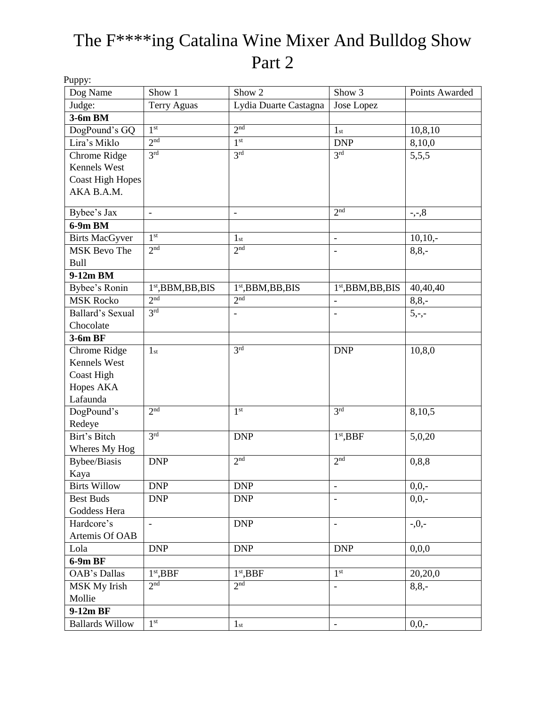### The F\*\*\*\*ing Catalina Wine Mixer And Bulldog Show Part 2

| Puppy:                  |                     |                          |                          |                   |
|-------------------------|---------------------|--------------------------|--------------------------|-------------------|
| Dog Name                | Show 1              | Show 2                   | Show 3                   | Points Awarded    |
| Judge:                  | <b>Terry Aguas</b>  | Lydia Duarte Castagna    | Jose Lopez               |                   |
| 3-6m BM                 |                     |                          |                          |                   |
| DogPound's GQ           | 1 <sup>st</sup>     | 2 <sup>nd</sup>          | 1 <sub>st</sub>          | 10,8,10           |
| Lira's Miklo            | 2 <sub>nd</sub>     | 1 <sup>st</sup>          | <b>DNP</b>               | 8,10,0            |
| Chrome Ridge            | 3 <sup>rd</sup>     | 3 <sup>rd</sup>          | 3 <sup>rd</sup>          | 5,5,5             |
| Kennels West            |                     |                          |                          |                   |
| <b>Coast High Hopes</b> |                     |                          |                          |                   |
| AKA B.A.M.              |                     |                          |                          |                   |
| Bybee's Jax             | $\blacksquare$      | $\overline{\phantom{m}}$ | 2 <sup>nd</sup>          | $\frac{1}{2}, -3$ |
| 6-9m BM                 |                     |                          |                          |                   |
| <b>Birts MacGyver</b>   | 1 <sup>st</sup>     | 1 <sub>st</sub>          | $\overline{\phantom{0}}$ | $10,10,-$         |
| MSK Bevo The            | 2 <sub>nd</sub>     | 2 <sub>nd</sub>          | $\overline{a}$           | $8,8,-$           |
| <b>Bull</b>             |                     |                          |                          |                   |
| $9-12m$ BM              |                     |                          |                          |                   |
| Bybee's Ronin           | $1st,$ BBM,BB,BIS   | $1st,$ BBM,BB,BIS        | $1st,$ BBM,BB,BIS        | 40,40,40          |
| <b>MSK Rocko</b>        | 2 <sup>nd</sup>     | 2 <sup>nd</sup>          | $\blacksquare$           | $8,8,-$           |
| Ballard's Sexual        | 3 <sup>rd</sup>     |                          |                          | $5, -,-$          |
| Chocolate               |                     |                          |                          |                   |
| $3-6m$ BF               |                     |                          |                          |                   |
| Chrome Ridge            | 1 <sub>st</sub>     | 3 <sup>rd</sup>          | <b>DNP</b>               | 10,8,0            |
| Kennels West            |                     |                          |                          |                   |
| <b>Coast High</b>       |                     |                          |                          |                   |
| Hopes AKA               |                     |                          |                          |                   |
| Lafaunda                |                     |                          |                          |                   |
| DogPound's              | 2 <sup>nd</sup>     | 1 <sup>st</sup>          | 3 <sup>rd</sup>          | 8,10,5            |
| Redeye                  |                     |                          |                          |                   |
| Birt's Bitch            | 3 <sup>rd</sup>     | <b>DNP</b>               | 1 <sup>st</sup> , BBF    | 5,0,20            |
| Wheres My Hog           |                     |                          |                          |                   |
| <b>Bybee/Biasis</b>     | <b>DNP</b>          | 2 <sup>nd</sup>          | 2 <sup>nd</sup>          | 0, 8, 8           |
| Kaya                    |                     |                          |                          |                   |
| <b>Birts Willow</b>     | <b>DNP</b>          | <b>DNP</b>               | $\overline{\phantom{a}}$ | $0,0,-$           |
| <b>Best Buds</b>        | <b>DNP</b>          | <b>DNP</b>               | $\blacksquare$           | $0,0,-$           |
| Goddess Hera            |                     |                          |                          |                   |
| Hardcore's              | $\bar{\phantom{a}}$ | <b>DNP</b>               | $\overline{\phantom{a}}$ | $-0$ ,-           |
| Artemis Of OAB          |                     |                          |                          |                   |
| Lola                    | <b>DNP</b>          | <b>DNP</b>               | <b>DNP</b>               | 0,0,0             |
| 6-9m BF                 |                     |                          |                          |                   |
| OAB's Dallas            | $1st$ , BBF         | 1 <sup>st</sup> , BBF    | 1 <sup>st</sup>          | 20,20,0           |
| MSK My Irish            | 2 <sub>nd</sub>     | 2 <sub>nd</sub>          |                          | $8, 8, -$         |
| Mollie                  |                     |                          |                          |                   |
| $9-12m$ BF              |                     |                          |                          |                   |
| <b>Ballards Willow</b>  | 1 <sup>st</sup>     | 1 <sub>st</sub>          | $\blacksquare$           | $0,0,-$           |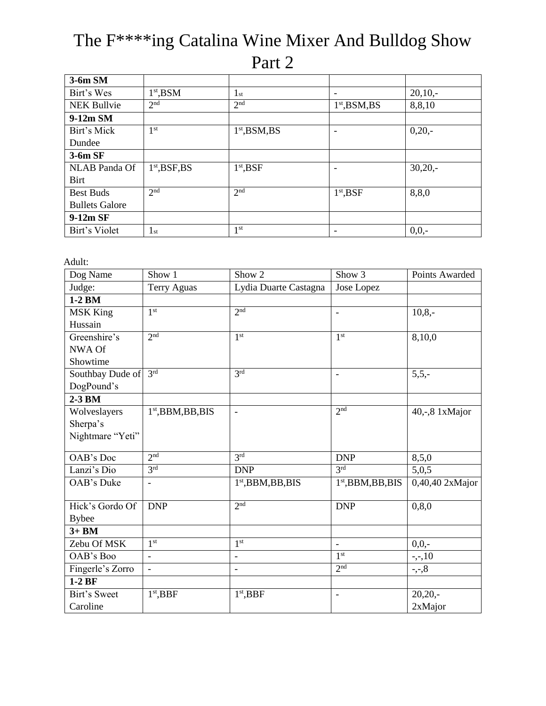### The F\*\*\*\*ing Catalina Wine Mixer And Bulldog Show Part 2

| 3-6m SM               |                 |                 |                          |           |
|-----------------------|-----------------|-----------------|--------------------------|-----------|
| Birt's Wes            | $1st$ , BSM     | $1_{\rm st}$    | $\overline{\phantom{a}}$ | $20,10,-$ |
| <b>NEK Bullvie</b>    | 2 <sup>nd</sup> | 2 <sup>nd</sup> | $1st$ , BSM, BS          | 8,8,10    |
| 9-12m SM              |                 |                 |                          |           |
| Birt's Mick           | 1 <sup>st</sup> | $1st$ , BSM, BS | $\overline{\phantom{a}}$ | $0,20,-$  |
| Dundee                |                 |                 |                          |           |
| $3-6m$ SF             |                 |                 |                          |           |
| <b>NLAB</b> Panda Of  | $1st$ , BSF, BS | $1st$ , BSF     | $\overline{\phantom{a}}$ | $30,20,-$ |
| <b>Birt</b>           |                 |                 |                          |           |
| <b>Best Buds</b>      | 2 <sup>nd</sup> | 2 <sup>nd</sup> | $1st$ , BSF              | 8,8,0     |
| <b>Bullets Galore</b> |                 |                 |                          |           |
| 9-12m SF              |                 |                 |                          |           |
| Birt's Violet         | $1_{\rm st}$    | 1 <sup>st</sup> | $\overline{\phantom{a}}$ | $0,0,-$   |

Adult:

| Dog Name         | Show 1                   | Show <sub>2</sub>        | Show 3                   | Points Awarded  |
|------------------|--------------------------|--------------------------|--------------------------|-----------------|
| Judge:           | Terry Aguas              | Lydia Duarte Castagna    | Jose Lopez               |                 |
| $1-2$ BM         |                          |                          |                          |                 |
| <b>MSK King</b>  | 1 <sup>st</sup>          | 2 <sup>nd</sup>          |                          | $10,8,-$        |
| Hussain          |                          |                          |                          |                 |
| Greenshire's     | 2 <sup>nd</sup>          | 1 <sup>st</sup>          | 1 <sup>st</sup>          | 8,10,0          |
| NWA Of           |                          |                          |                          |                 |
| Showtime         |                          |                          |                          |                 |
| Southbay Dude of | 3 <sup>rd</sup>          | 3 <sup>rd</sup>          | $\overline{\phantom{m}}$ | $5, 5, -$       |
| DogPound's       |                          |                          |                          |                 |
| $2-3$ BM         |                          |                          |                          |                 |
| Wolveslayers     | $1st,$ BBM,BB,BIS        | $\overline{\phantom{a}}$ | 2 <sup>nd</sup>          | 40,-,8 1xMajor  |
| Sherpa's         |                          |                          |                          |                 |
| Nightmare "Yeti" |                          |                          |                          |                 |
|                  |                          |                          |                          |                 |
| OAB's Doc        | 2 <sup>nd</sup>          | 3 <sup>rd</sup>          | <b>DNP</b>               | 8,5,0           |
| Lanzi's Dio      | 3 <sup>rd</sup>          | <b>DNP</b>               | 3rd                      | 5,0,5           |
| OAB's Duke       | $\overline{\phantom{a}}$ | $1st$ , BBM, BB, BIS     | $1st$ , BBM, BB, BIS     | 0,40,40 2xMajor |
|                  |                          |                          |                          |                 |
| Hick's Gordo Of  | <b>DNP</b>               | 2 <sup>nd</sup>          | <b>DNP</b>               | 0, 8, 0         |
| <b>Bybee</b>     |                          |                          |                          |                 |
| $3+BM$           |                          |                          |                          |                 |
| Zebu Of MSK      | 1 <sup>st</sup>          | 1 <sup>st</sup>          |                          | $0,0,-$         |
| OAB's Boo        | $\overline{a}$           | $\overline{\phantom{0}}$ | 1 <sup>st</sup>          | $-,-,10$        |
| Fingerle's Zorro | $\overline{\phantom{a}}$ | $\qquad \qquad -$        | 2 <sup>nd</sup>          | $-,-,8$         |
| $1-2BF$          |                          |                          |                          |                 |
| Birt's Sweet     | $1st$ , BBF              | $1st$ , BBF              |                          | $20,20,-$       |
| Caroline         |                          |                          |                          | 2xMajor         |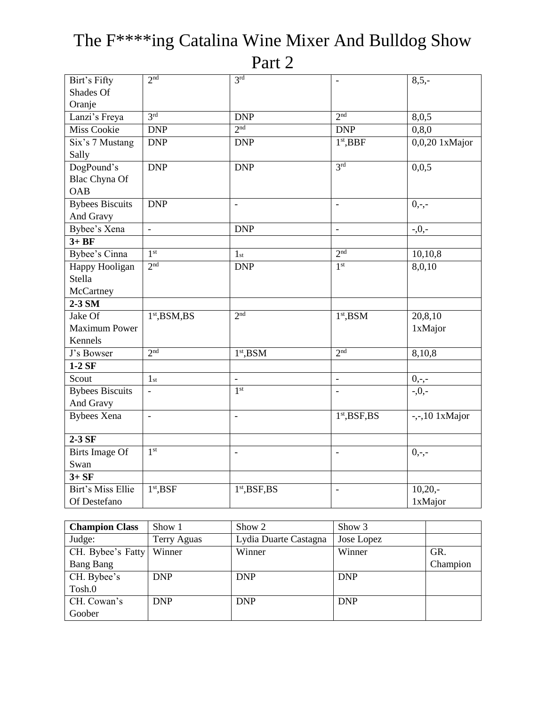| Birt's Fifty           | 2 <sup>nd</sup>          | 3 <sup>rd</sup>          | $\overline{a}$                           | $8,5,-$         |
|------------------------|--------------------------|--------------------------|------------------------------------------|-----------------|
| Shades Of              |                          |                          |                                          |                 |
| Oranje                 |                          |                          |                                          |                 |
| Lanzi's Freya          | 3 <sup>rd</sup>          | <b>DNP</b>               | 2 <sup>nd</sup>                          | 8,0,5           |
| <b>Miss Cookie</b>     | <b>DNP</b>               | 2 <sup>nd</sup>          | <b>DNP</b>                               | 0, 8, 0         |
| Six's 7 Mustang        | <b>DNP</b>               | <b>DNP</b>               | 1 <sup>st</sup> , BBF                    | 0,0,20 1xMajor  |
| Sally                  |                          |                          |                                          |                 |
| DogPound's             | <b>DNP</b>               | <b>DNP</b>               | 3 <sup>rd</sup>                          | 0,0,5           |
| Blac Chyna Of          |                          |                          |                                          |                 |
| <b>OAB</b>             |                          |                          |                                          |                 |
| <b>Bybees Biscuits</b> | <b>DNP</b>               |                          |                                          | $0,-,-$         |
| And Gravy              |                          |                          |                                          |                 |
| Bybee's Xena           | $\bar{\phantom{a}}$      | <b>DNP</b>               | $\overline{a}$                           | $-0$ , $-$      |
| $3+BF$                 |                          |                          |                                          |                 |
| Bybee's Cinna          | 1 <sup>st</sup>          | 1 <sub>st</sub>          | 2 <sup>nd</sup>                          | 10,10,8         |
| Happy Hooligan         | 2 <sup>nd</sup>          | <b>DNP</b>               | 1 <sup>st</sup>                          | 8,0,10          |
| Stella                 |                          |                          |                                          |                 |
| McCartney              |                          |                          |                                          |                 |
| 2-3 SM                 |                          |                          |                                          |                 |
| Jake Of                | $1st$ , BSM, BS          | 2 <sup>nd</sup>          | $1st$ , BSM                              | 20,8,10         |
| <b>Maximum Power</b>   |                          |                          |                                          | 1xMajor         |
| Kennels                |                          |                          |                                          |                 |
| J's Bowser             | 2 <sup>nd</sup>          | $1st$ , BSM              | 2 <sub>nd</sub>                          | 8,10,8          |
| $1-2$ SF               |                          |                          |                                          |                 |
| Scout                  | 1 <sub>st</sub>          | $\overline{\phantom{a}}$ | $\frac{1}{2}$                            | $0,-,-$         |
| <b>Bybees Biscuits</b> |                          | 1 <sup>st</sup>          |                                          | $-0$ ,-         |
| And Gravy              |                          |                          |                                          |                 |
| <b>Bybees Xena</b>     | $\overline{\phantom{a}}$ | $\overline{\phantom{a}}$ | 1 <sup>st</sup> , <b>BSF</b> , <b>BS</b> | $-,-10$ 1xMajor |
|                        |                          |                          |                                          |                 |
| $2-3$ SF               |                          |                          |                                          |                 |
| <b>Birts Image Of</b>  | 1 <sup>st</sup>          | $\overline{\phantom{a}}$ | $\overline{\phantom{0}}$                 | $0,-,-$         |
| Swan                   |                          |                          |                                          |                 |
| $3+SF$                 |                          |                          |                                          |                 |
| Birt's Miss Ellie      | $1st$ , BSF              | $1st$ , BSF, BS          |                                          | $10,20,-$       |
| Of Destefano           |                          |                          |                                          | 1xMajor         |

# The F\*\*\*\*ing Catalina Wine Mixer And Bulldog Show

Part 2

| <b>Champion Class</b> | Show 1      | Show 2                | Show 3     |          |
|-----------------------|-------------|-----------------------|------------|----------|
| Judge:                | Terry Aguas | Lydia Duarte Castagna | Jose Lopez |          |
| CH. Bybee's Fatty     | Winner      | Winner                | Winner     | GR.      |
| Bang Bang             |             |                       |            | Champion |
| CH. Bybee's           | <b>DNP</b>  | <b>DNP</b>            | <b>DNP</b> |          |
| Tosh.0                |             |                       |            |          |
| CH. Cowan's           | <b>DNP</b>  | <b>DNP</b>            | <b>DNP</b> |          |
| Goober                |             |                       |            |          |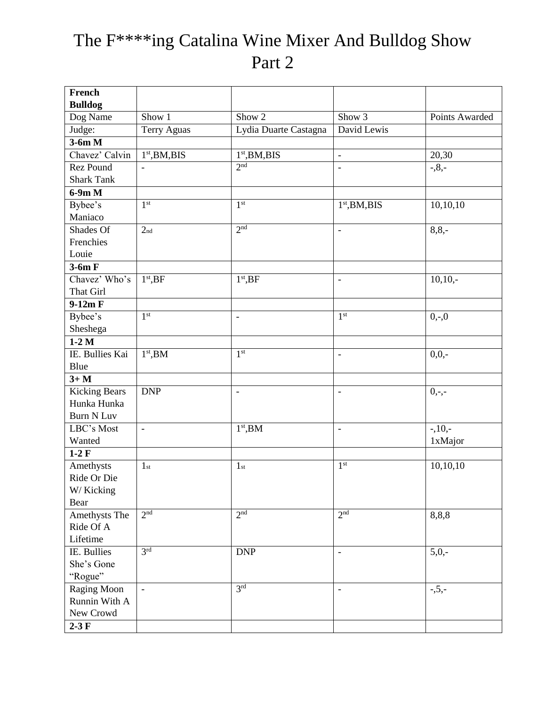## The F\*\*\*\*ing Catalina Wine Mixer And Bulldog Show Part 2

| French               |                           |                           |                           |                |
|----------------------|---------------------------|---------------------------|---------------------------|----------------|
| <b>Bulldog</b>       |                           |                           |                           |                |
| Dog Name             | Show 1                    | Show <sub>2</sub>         | Show 3                    | Points Awarded |
| Judge:               | <b>Terry Aguas</b>        | Lydia Duarte Castagna     | David Lewis               |                |
| $3-6m$ M             |                           |                           |                           |                |
| Chavez' Calvin       | 1 <sup>st</sup> , BM, BIS | 1 <sup>st</sup> , BM, BIS | $\overline{\phantom{a}}$  | 20,30          |
| Rez Pound            | $\overline{\phantom{a}}$  | 2 <sup>nd</sup>           | $\overline{\phantom{0}}$  | $-0.8, -$      |
| <b>Shark Tank</b>    |                           |                           |                           |                |
| $6-9m$ M             |                           |                           |                           |                |
| Bybee's              | 1 <sup>st</sup>           | 1 <sup>st</sup>           | 1 <sup>st</sup> , BM, BIS | 10,10,10       |
| Maniaco              |                           |                           |                           |                |
| Shades Of            | 2 <sub>nd</sub>           | 2 <sup>nd</sup>           | $\overline{\phantom{a}}$  | $8,8,-$        |
| Frenchies            |                           |                           |                           |                |
| Louie                |                           |                           |                           |                |
| $3-6m$ F             |                           |                           |                           |                |
| Chavez' Who's        | $1st$ , BF                | $1st$ , BF                | $\overline{\phantom{a}}$  | $10,10,-$      |
| That Girl            |                           |                           |                           |                |
| $9-12m F$            |                           |                           |                           |                |
| Bybee's              | 1 <sup>st</sup>           | $\frac{1}{2}$             | 1 <sup>st</sup>           | $0,-0$         |
| Sheshega             |                           |                           |                           |                |
| $1-2M$               |                           |                           |                           |                |
| IE. Bullies Kai      | $1st$ , BM                | 1 <sup>st</sup>           | $\overline{\phantom{0}}$  | $0,0,-$        |
| Blue                 |                           |                           |                           |                |
| $3+M$                |                           |                           |                           |                |
| <b>Kicking Bears</b> | <b>DNP</b>                | $\overline{\phantom{a}}$  | $\overline{\phantom{0}}$  | $0, -,-$       |
| Hunka Hunka          |                           |                           |                           |                |
| <b>Burn N Luv</b>    |                           |                           |                           |                |
| LBC's Most           | $\overline{\phantom{a}}$  | $1st$ , BM                | $\overline{a}$            | $-10, -$       |
| Wanted               |                           |                           |                           | 1xMajor        |
| $1-2F$               |                           |                           |                           |                |
| Amethysts            | 1 <sub>st</sub>           | 1 <sub>st</sub>           | 1 <sup>st</sup>           | 10,10,10       |
| Ride Or Die          |                           |                           |                           |                |
| W/Kicking            |                           |                           |                           |                |
| Bear                 |                           |                           |                           |                |
| Amethysts The        | 2 <sup>nd</sup>           | 2 <sup>nd</sup>           | 2 <sup>nd</sup>           | 8,8,8          |
| Ride Of A            |                           |                           |                           |                |
| Lifetime             |                           |                           |                           |                |
| IE. Bullies          | 3 <sup>rd</sup>           | <b>DNP</b>                | $\overline{\phantom{a}}$  | $5,0,-$        |
| She's Gone           |                           |                           |                           |                |
| "Rogue"              |                           |                           |                           |                |
| Raging Moon          | $\blacksquare$            | 3 <sup>rd</sup>           | $\overline{\phantom{a}}$  | $-5, -$        |
| Runnin With A        |                           |                           |                           |                |
| New Crowd            |                           |                           |                           |                |
| $2-3F$               |                           |                           |                           |                |